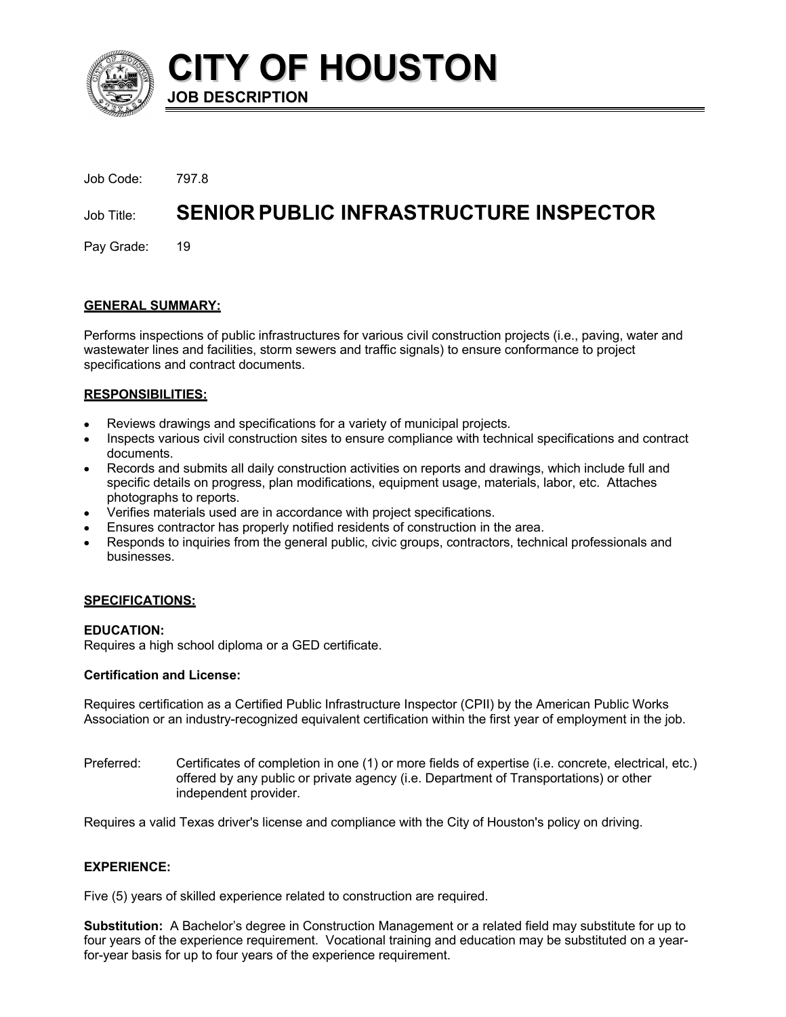

**CITY OF HOUSTON JOB DESCRIPTION**

| Job Code: 797.8 |                                        |
|-----------------|----------------------------------------|
| Job Title:      | SENIOR PUBLIC INFRASTRUCTURE INSPECTOR |
| Pay Grade: 19   |                                        |

# **GENERAL SUMMARY:**

Performs inspections of public infrastructures for various civil construction projects (i.e., paving, water and wastewater lines and facilities, storm sewers and traffic signals) to ensure conformance to project specifications and contract documents.

## **RESPONSIBILITIES:**

- Reviews drawings and specifications for a variety of municipal projects.
- Inspects various civil construction sites to ensure compliance with technical specifications and contract documents.
- Records and submits all daily construction activities on reports and drawings, which include full and specific details on progress, plan modifications, equipment usage, materials, labor, etc. Attaches photographs to reports.
- Verifies materials used are in accordance with project specifications.
- Ensures contractor has properly notified residents of construction in the area.
- Responds to inquiries from the general public, civic groups, contractors, technical professionals and businesses.

## **SPECIFICATIONS:**

## **EDUCATION:**

Requires a high school diploma or a GED certificate.

## **Certification and License:**

Requires certification as a Certified Public Infrastructure Inspector (CPII) by the American Public Works Association or an industry-recognized equivalent certification within the first year of employment in the job.

Preferred: Certificates of completion in one (1) or more fields of expertise (i.e. concrete, electrical, etc.) offered by any public or private agency (i.e. Department of Transportations) or other independent provider.

Requires a valid Texas driver's license and compliance with the City of Houston's policy on driving.

## **EXPERIENCE:**

Five (5) years of skilled experience related to construction are required.

**Substitution:** A Bachelor's degree in Construction Management or a related field may substitute for up to four years of the experience requirement. Vocational training and education may be substituted on a yearfor-year basis for up to four years of the experience requirement.